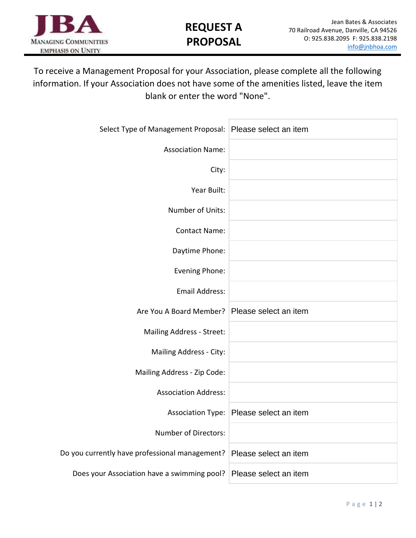

## REQUEST A PROPOSAL

## To receive a Management Proposal for your Association, please complete all the following information. If your Association does not have some of the amenities listed, leave the item blank or enter the word "None".

| Select Type of Management Proposal: Please select an item |                                           |
|-----------------------------------------------------------|-------------------------------------------|
| <b>Association Name:</b>                                  |                                           |
| City:                                                     |                                           |
| Year Built:                                               |                                           |
| Number of Units:                                          |                                           |
| <b>Contact Name:</b>                                      |                                           |
| Daytime Phone:                                            |                                           |
| Evening Phone:                                            |                                           |
| <b>Email Address:</b>                                     |                                           |
| Are You A Board Member?                                   | Please select an item                     |
| Mailing Address - Street:                                 |                                           |
| Mailing Address - City:                                   |                                           |
| Mailing Address - Zip Code:                               |                                           |
| <b>Association Address:</b>                               |                                           |
|                                                           | Association Type:   Please select an item |
| <b>Number of Directors:</b>                               |                                           |
| Do you currently have professional management?            | Please select an item                     |
| Does your Association have a swimming pool?               | Please select an item                     |